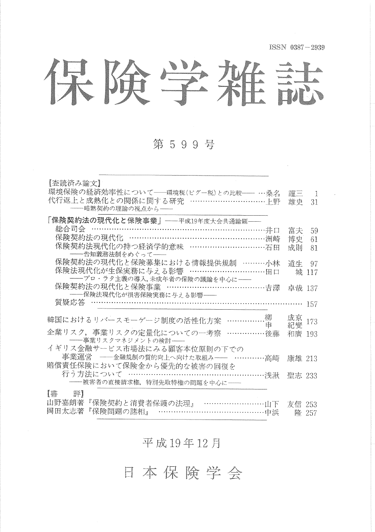ISSN 0387-2939

保険学雑誌

第599号

| 【査読済み論文】<br>環境保険の経済効率性について――環境税(ピグー税)との比較―― …桑名<br>代行返上と成熟化との関係に関する研究 ……………………………上野<br>-- 暗黙契約の理論の視点から-- | 謹三<br>雄史 | -1<br>31 |
|----------------------------------------------------------------------------------------------------------|----------|----------|
| 「保険契約法の現代化と保険事業」——平成19年度大会共通論題——                                                                         |          |          |
|                                                                                                          | 富夫       | 59       |
| 総合司会 ……………………………………………………………………井口<br>保険契約法の現代化 ………………………………………………洲崎                                      | 博史       | 61       |
| 保険契約法現代化の持つ経済学的意味 ……………………………… 石田                                                                        | 成則       | 81       |
| ――告知義務法制をめぐって――                                                                                          |          |          |
| 保険契約法の現代化と保険募集における情報提供規制 ………小林                                                                           | 道生       | 97       |
| 保険法現代化が生保実務に与える影響 …………………………田口                                                                           |          | 城 117    |
|                                                                                                          |          |          |
| 保険契約法の現代化と保険事業 …………………………………吉澤 卓哉 137                                                                    |          |          |
| ――保険法現代化が損害保険実務に与える影響――                                                                                  |          |          |
|                                                                                                          |          |          |
|                                                                                                          | 成京       |          |
| 韓国におけるリバースモーゲージ制度の活性化方案 ……………柳                                                                           | 紀燮       | 173      |
| 企業リスク、事業リスクの定量化についての一考察 ……………後藤                                                                          | 和廣 193   |          |
| ――事業リスクマネジメントの検討――                                                                                       |          |          |
| イギリス金融サービス市場法にみる顧客本位原則の下での                                                                               |          |          |
| 事業運営 ––金融規制の質的向上へ向けた取組み–– …………高崎 康雄 213                                                                  |          |          |
| 賠償責任保険において保険金から優先的な被害の回復を                                                                                |          |          |
| 行う方法について ………………………………………………浅湫 聖志 233                                                                     |          |          |
| ----被害者の直接請求権,特別先取特権の問題を中心に--                                                                            |          |          |
| 【書】<br>評】                                                                                                |          |          |
|                                                                                                          |          |          |
| 山野嘉朗著『保険契約と消費者保護の法理』 ………………………山下 友信 253<br>岡田太志著『保険問題の諸相』 ……………………………………中浜   隆 257                       |          |          |
|                                                                                                          |          |          |

平成19年12月

日本保险学会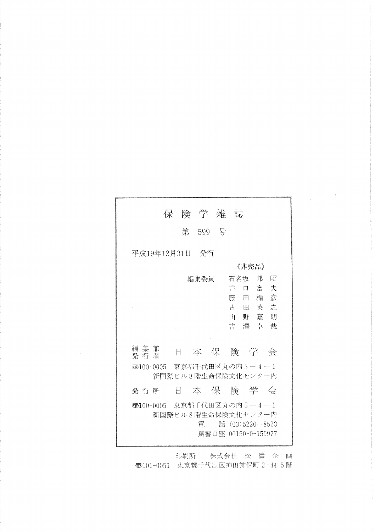| 第 599 号                                                                                          |  |  |  |
|--------------------------------------------------------------------------------------------------|--|--|--|
| 平成19年12月31日 発行                                                                                   |  |  |  |
| 《非壳品》<br>邦<br>昭<br>編集委員<br>石名坂<br>口 富<br>井<br>夫<br>藤 田<br>楯 彦<br>古 田 英 之<br>山野嘉朗<br>吉澤卓哉         |  |  |  |
| 編集兼<br>本保険学会<br>E.<br>発 行 者                                                                      |  |  |  |
| ●5100-0005 東京都千代田区丸の内3−4−1<br>新国際ビル8階生命保険文化センター内                                                 |  |  |  |
| 本保险学会<br>Ħ<br>発 行 所                                                                              |  |  |  |
| ●100-0005 東京都千代田区丸の内3-4-1<br>新国際ビル8階生命保険文化センター内<br>話 (03)5220 - 8523<br>衝<br>振替口座 00150-0-150977 |  |  |  |

 $\epsilon$ 

印刷所 株式会社 松 濤 企 画 **西101-0051 東京都千代田区神田神保町 2-44 5階**